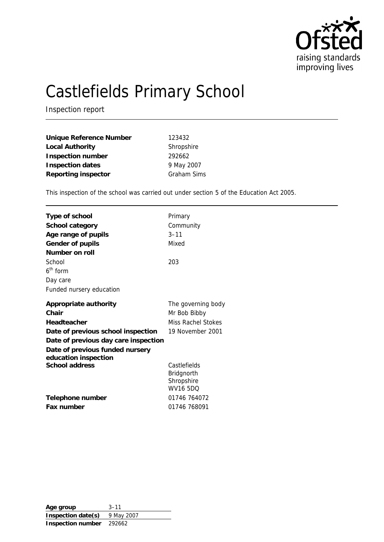

# Castlefields Primary School

Inspection report

| Unique Reference Number | 123432             |
|-------------------------|--------------------|
| Local Authority         | Shropshire         |
| Inspection number       | 292662             |
| Inspection dates        | 9 May 2007         |
| Reporting inspector     | <b>Graham Sims</b> |

This inspection of the school was carried out under section 5 of the Education Act 2005.

| Type of school                                          | Primary<br>Community |
|---------------------------------------------------------|----------------------|
| School category                                         |                      |
| Age range of pupils                                     | $3 - 11$             |
| Gender of pupils                                        | Mixed                |
| Number on roll                                          |                      |
| School                                                  | 203                  |
| $6th$ form                                              |                      |
| Day care                                                |                      |
| Funded nursery education                                |                      |
| Appropriate authority                                   | The governing body   |
| Chair                                                   | Mr Bob Bibby         |
| Headteacher                                             | Miss Rachel Stokes   |
| Date of previous school inspection                      | 19 November 2001     |
| Date of previous day care inspection                    |                      |
| Date of previous funded nursery<br>education inspection |                      |
| School address                                          | Castlefields         |
|                                                         | Bridgnorth           |
|                                                         | Shropshire           |
|                                                         | <b>WV16 5DQ</b>      |
| Telephone number                                        | 01746 764072         |
| Fax number                                              | 01746 768091         |
|                                                         |                      |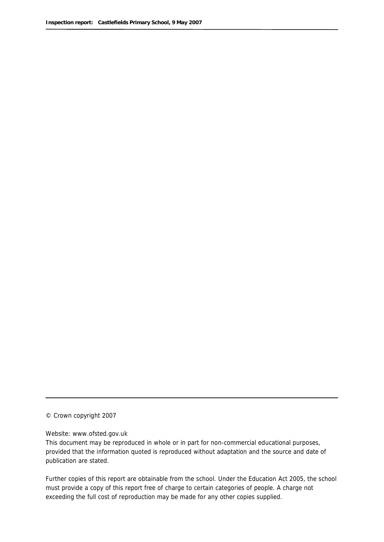© Crown copyright 2007

#### Website: www.ofsted.gov.uk

This document may be reproduced in whole or in part for non-commercial educational purposes, provided that the information quoted is reproduced without adaptation and the source and date of publication are stated.

Further copies of this report are obtainable from the school. Under the Education Act 2005, the school must provide a copy of this report free of charge to certain categories of people. A charge not exceeding the full cost of reproduction may be made for any other copies supplied.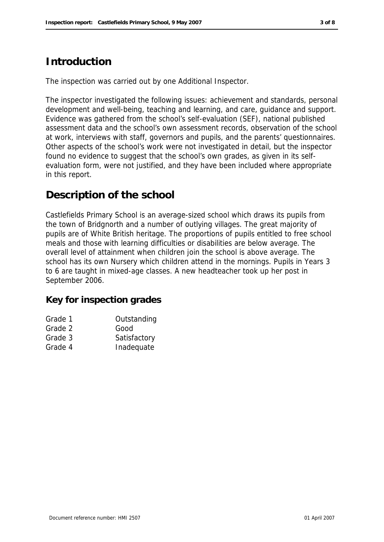## **Introduction**

The inspection was carried out by one Additional Inspector.

The inspector investigated the following issues: achievement and standards, personal development and well-being, teaching and learning, and care, guidance and support. Evidence was gathered from the school's self-evaluation (SEF), national published assessment data and the school's own assessment records, observation of the school at work, interviews with staff, governors and pupils, and the parents' questionnaires. Other aspects of the school's work were not investigated in detail, but the inspector found no evidence to suggest that the school's own grades, as given in its selfevaluation form, were not justified, and they have been included where appropriate in this report.

## **Description of the school**

Castlefields Primary School is an average-sized school which draws its pupils from the town of Bridgnorth and a number of outlying villages. The great majority of pupils are of White British heritage. The proportions of pupils entitled to free school meals and those with learning difficulties or disabilities are below average. The overall level of attainment when children join the school is above average. The school has its own Nursery which children attend in the mornings. Pupils in Years 3 to 6 are taught in mixed-age classes. A new headteacher took up her post in September 2006.

**Key for inspection grades**

| Grade 1 | Outstanding  |
|---------|--------------|
| Grade 2 | Good         |
| Grade 3 | Satisfactory |
| Grade 4 | Inadequate   |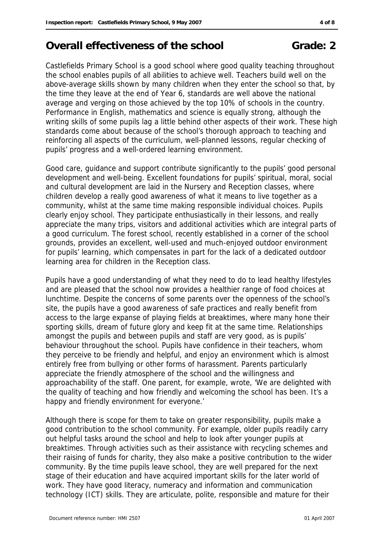## **Overall effectiveness of the school Grade: 2**

Castlefields Primary School is a good school where good quality teaching throughout the school enables pupils of all abilities to achieve well. Teachers build well on the above-average skills shown by many children when they enter the school so that, by the time they leave at the end of Year 6, standards are well above the national average and verging on those achieved by the top 10% of schools in the country. Performance in English, mathematics and science is equally strong, although the writing skills of some pupils lag a little behind other aspects of their work. These high standards come about because of the school's thorough approach to teaching and reinforcing all aspects of the curriculum, well-planned lessons, regular checking of pupils' progress and a well-ordered learning environment.

Good care, guidance and support contribute significantly to the pupils' good personal development and well-being. Excellent foundations for pupils' spiritual, moral, social and cultural development are laid in the Nursery and Reception classes, where children develop a really good awareness of what it means to live together as a community, whilst at the same time making responsible individual choices. Pupils clearly enjoy school. They participate enthusiastically in their lessons, and really appreciate the many trips, visitors and additional activities which are integral parts of a good curriculum. The forest school, recently established in a corner of the school grounds, provides an excellent, well-used and much-enjoyed outdoor environment for pupils' learning, which compensates in part for the lack of a dedicated outdoor learning area for children in the Reception class.

Pupils have a good understanding of what they need to do to lead healthy lifestyles and are pleased that the school now provides a healthier range of food choices at lunchtime. Despite the concerns of some parents over the openness of the school's site, the pupils have a good awareness of safe practices and really benefit from access to the large expanse of playing fields at breaktimes, where many hone their sporting skills, dream of future glory and keep fit at the same time. Relationships amongst the pupils and between pupils and staff are very good, as is pupils' behaviour throughout the school. Pupils have confidence in their teachers, whom they perceive to be friendly and helpful, and enjoy an environment which is almost entirely free from bullying or other forms of harassment. Parents particularly appreciate the friendly atmosphere of the school and the willingness and approachability of the staff. One parent, for example, wrote, 'We are delighted with the quality of teaching and how friendly and welcoming the school has been. It's a happy and friendly environment for everyone.'

Although there is scope for them to take on greater responsibility, pupils make a good contribution to the school community. For example, older pupils readily carry out helpful tasks around the school and help to look after younger pupils at breaktimes. Through activities such as their assistance with recycling schemes and their raising of funds for charity, they also make a positive contribution to the wider community. By the time pupils leave school, they are well prepared for the next stage of their education and have acquired important skills for the later world of work. They have good literacy, numeracy and information and communication technology (ICT) skills. They are articulate, polite, responsible and mature for their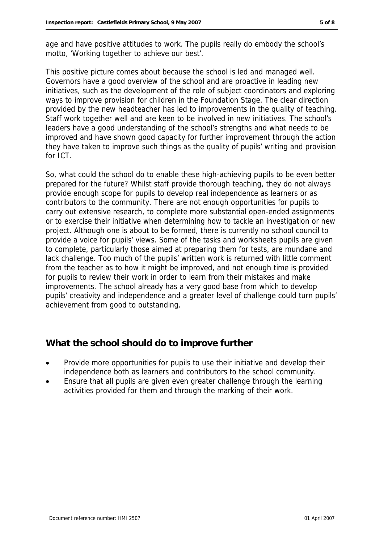age and have positive attitudes to work. The pupils really do embody the school's motto, 'Working together to achieve our best'.

This positive picture comes about because the school is led and managed well. Governors have a good overview of the school and are proactive in leading new initiatives, such as the development of the role of subject coordinators and exploring ways to improve provision for children in the Foundation Stage. The clear direction provided by the new headteacher has led to improvements in the quality of teaching. Staff work together well and are keen to be involved in new initiatives. The school's leaders have a good understanding of the school's strengths and what needs to be improved and have shown good capacity for further improvement through the action they have taken to improve such things as the quality of pupils' writing and provision for ICT.

So, what could the school do to enable these high-achieving pupils to be even better prepared for the future? Whilst staff provide thorough teaching, they do not always provide enough scope for pupils to develop real independence as learners or as contributors to the community. There are not enough opportunities for pupils to carry out extensive research, to complete more substantial open-ended assignments or to exercise their initiative when determining how to tackle an investigation or new project. Although one is about to be formed, there is currently no school council to provide a voice for pupils' views. Some of the tasks and worksheets pupils are given to complete, particularly those aimed at preparing them for tests, are mundane and lack challenge. Too much of the pupils' written work is returned with little comment from the teacher as to how it might be improved, and not enough time is provided for pupils to review their work in order to learn from their mistakes and make improvements. The school already has a very good base from which to develop pupils' creativity and independence and a greater level of challenge could turn pupils' achievement from good to outstanding.

## **What the school should do to improve further**

- Provide more opportunities for pupils to use their initiative and develop their independence both as learners and contributors to the school community.
- Ensure that all pupils are given even greater challenge through the learning activities provided for them and through the marking of their work.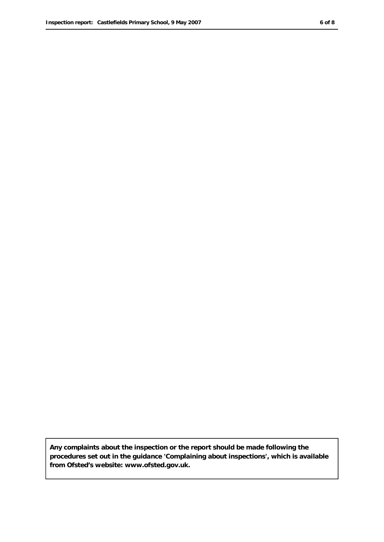**Any complaints about the inspection or the report should be made following the procedures set out in the guidance 'Complaining about inspections', which is available from Ofsted's website: www.ofsted.gov.uk.**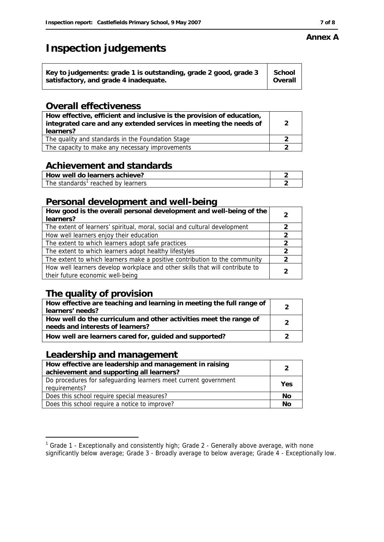## **Inspection judgements**

| School<br>Key to judgements: grade 1 is outstanding, grade 2 good, grade 3<br>satisfactory, and grade 4 inadequate. | Overall |
|---------------------------------------------------------------------------------------------------------------------|---------|
|---------------------------------------------------------------------------------------------------------------------|---------|

#### **Overall effectiveness**

| How effective, efficient and inclusive is the provision of education,<br>integrated care and any extended services in meeting the needs of<br>learners? | 2 |
|---------------------------------------------------------------------------------------------------------------------------------------------------------|---|
| The quality and standards in the Foundation Stage                                                                                                       |   |
| The capacity to make any necessary improvements                                                                                                         |   |

## **Achievement and standards**

| How well do learners achieve?      |  |
|------------------------------------|--|
| The standards' reached by learners |  |

### **Personal development and well-being**

| How good is the overall personal development and well-being of the<br>learners? | 2             |
|---------------------------------------------------------------------------------|---------------|
| The extent of learners' spiritual, moral, social and cultural development       | $\mathcal{P}$ |
| How well learners enjoy their education                                         | $\mathcal{P}$ |
| The extent to which learners adopt safe practices                               | $\mathcal{P}$ |
| The extent to which learners adopt healthy lifestyles                           | 2             |
| The extent to which learners make a positive contribution to the community      | 2             |
| How well learners develop workplace and other skills that will contribute to    |               |
| their future economic well-being                                                |               |

## **The quality of provision**

| How effective are teaching and learning in meeting the full range of<br>learners' needs?              |  |
|-------------------------------------------------------------------------------------------------------|--|
| How well do the curriculum and other activities meet the range of<br>needs and interests of learners? |  |
| How well are learners cared for, guided and supported?                                                |  |

#### **Leadership and management**

-

| How effective are leadership and management in raising<br>achievement and supporting all learners? | $\mathcal{P}$ |
|----------------------------------------------------------------------------------------------------|---------------|
| Do procedures for safeguarding learners meet current government<br>requirements?                   | Yes           |
| Does this school require special measures?                                                         | No            |
| Does this school require a notice to improve?                                                      | No            |

## **Annex A**

<sup>&</sup>lt;sup>1</sup> Grade 1 - Exceptionally and consistently high; Grade 2 - Generally above average, with none significantly below average; Grade 3 - Broadly average to below average; Grade 4 - Exceptionally low.